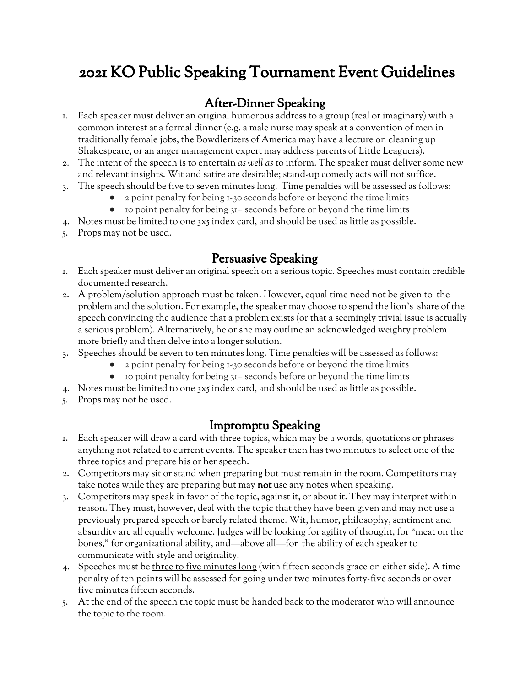# 2021 KO Public Speaking Tournament Event Guidelines

### After-Dinner Speaking

- 1. Each speaker must deliver an original humorous address to a group (real or imaginary) with a common interest at a formal dinner (e.g. a male nurse may speak at a convention of men in traditionally female jobs, the Bowdlerizers of America may have a lecture on cleaning up Shakespeare, or an anger management expert may address parents of Little Leaguers).
- 2. The intent of the speech is to entertain *as well as* to inform. The speaker must deliver some new and relevant insights. Wit and satire are desirable; stand-up comedy acts will not suffice.
- 3. The speech should be five to seven minutes long. Time penalties will be assessed as follows:
	- 2 point penalty for being 1-30 seconds before or beyond the time limits
	- 10 point penalty for being 31+ seconds before or beyond the time limits
- 4. Notes must be limited to one 3x5 index card, and should be used as little as possible.
- 5. Props may not be used.

#### Persuasive Speaking

- 1. Each speaker must deliver an original speech on a serious topic. Speeches must contain credible documented research.
- 2. A problem/solution approach must be taken. However, equal time need not be given to the problem and the solution. For example, the speaker may choose to spend the lion's share of the speech convincing the audience that a problem exists (or that a seemingly trivial issue is actually a serious problem). Alternatively, he or she may outline an acknowledged weighty problem more briefly and then delve into a longer solution.
- 3. Speeches should be seven to ten minutes long. Time penalties will be assessed as follows:
	- 2 point penalty for being 1-30 seconds before or beyond the time limits
		- 10 point penalty for being 31+ seconds before or beyond the time limits
- 4. Notes must be limited to one 3x5 index card, and should be used as little as possible.
- 5. Props may not be used.

# Impromptu Speaking

- 1. Each speaker will draw a card with three topics, which may be a words, quotations or phrases anything not related to current events. The speaker then has two minutes to select one of the three topics and prepare his or her speech.
- 2. Competitors may sit or stand when preparing but must remain in the room. Competitors may take notes while they are preparing but may not use any notes when speaking.
- 3. Competitors may speak in favor of the topic, against it, or about it. They may interpret within reason. They must, however, deal with the topic that they have been given and may not use a previously prepared speech or barely related theme. Wit, humor, philosophy, sentiment and absurdity are all equally welcome. Judges will be looking for agility of thought, for "meat on the bones," for organizational ability, and—above all—for the ability of each speaker to communicate with style and originality.
- 4. Speeches must be three to five minutes long (with fifteen seconds grace on either side). A time penalty of ten points will be assessed for going under two minutes forty-five seconds or over five minutes fifteen seconds.
- 5. At the end of the speech the topic must be handed back to the moderator who will announce the topic to the room.